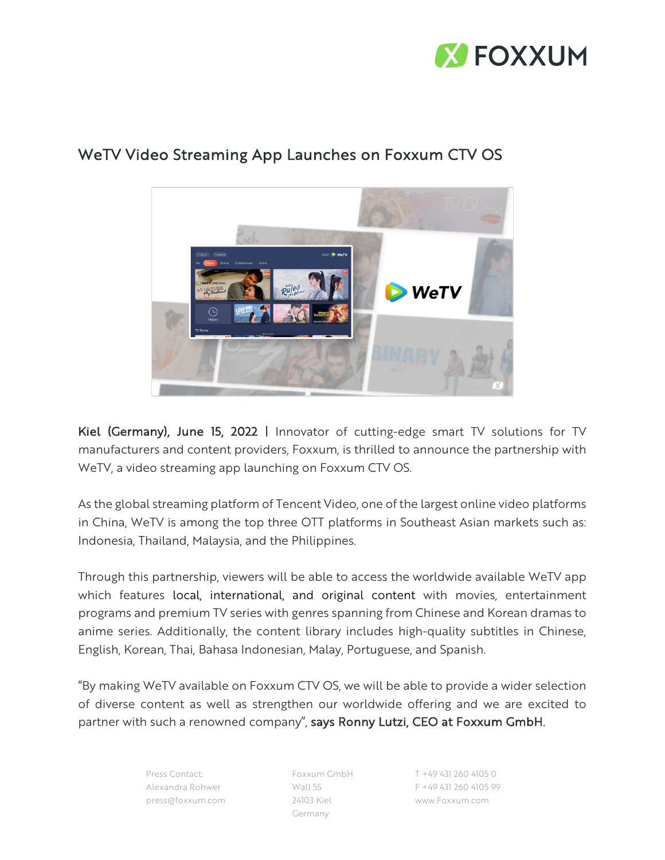



## WeTV Video Streaming App Launches on Foxxum CTV OS

Kiel (Germany), June 15, 2022 | Innovator of cutting-edge smart TV solutions for TV manufacturers and content providers, Foxxum, is thrilled to announce the partnership with WeTV, a video streaming app launching on Foxxum CTV OS.

As the global streaming platform of Tencent Video, one of the largest online video platforms in China, WeTV is among the top three OTT platforms in Southeast Asian markets such as: Indonesia, Thailand, Malaysia, and the Philippines.

Through this partnership, viewers will be able to access the worldwide available WeTV app which features local, international, and original content with movies, entertainment programs and premium TV series with genres spanning from Chinese and Korean dramas to anime series. Additionally, the content library includes high-quality subtitles in Chinese, English, Korean, Thai, Bahasa Indonesian, Malay, Portuguese, and Spanish.

"By making WeTV available on Foxxum CTV OS, we will be able to provide a wider selection of diverse content as well as strengthen our worldwide offering and we are excited to partner with such a renowned company", says Ronny Lutzi, CEO at Foxxum GmbH.

> Press Contact: Alexandra Rohwer press@foxxum.com

Foxxum GmbH Wall 55 24103 Kiel Germany

T +49 431 260 4105 0 F +49 431 260 4105 99 www.Foxxum.com